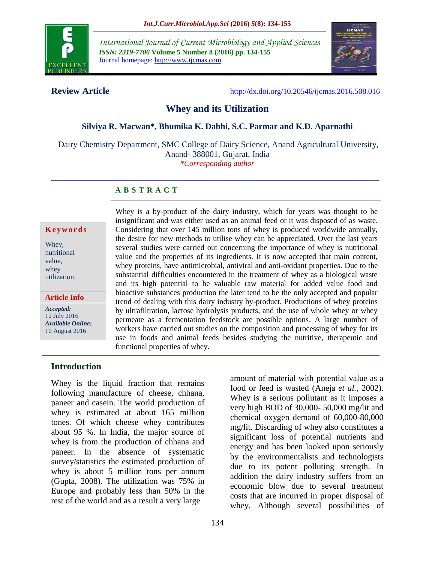

*International Journal of Current Microbiology and Applied Sciences ISSN: 2319-7706* **Volume 5 Number 8 (2016) pp. 134-155** Journal homepage: http://www.ijcmas.com



**Review Article** <http://dx.doi.org/10.20546/ijcmas.2016.508.016>

# **Whey and its Utilization**

#### **Silviya R. Macwan\*, Bhumika K. Dabhi, S.C. Parmar and K.D. Aparnathi**

Dairy Chemistry Department, SMC College of Dairy Science, Anand Agricultural University, Anand- 388001, Gujarat, India

*\*Corresponding author*

## **A B S T R A C T**

#### **K e y w o r d s**

Whey, nutritional value, whey utilization.

#### **Article Info**

*Accepted:*  12 July 2016 *Available Online:* 10 August 2016

Whey is a by-product of the dairy industry, which for years was thought to be insignificant and was either used as an animal feed or it was disposed of as waste. Considering that over 145 million tons of whey is produced worldwide annually, the desire for new methods to utilise whey can be appreciated. Over the last years several studies were carried out concerning the importance of whey is nutritional value and the properties of its ingredients. It is now accepted that main content, whey proteins, have antimicrobial, antiviral and anti-oxidant properties. Due to the substantial difficulties encountered in the treatment of whey as a biological waste and its high potential to be valuable raw material for added value food and bioactive substances production the later tend to be the only accepted and popular trend of dealing with this dairy industry by-product. Productions of whey proteins by ultrafiltration, lactose hydrolysis products, and the use of whole whey or whey permeate as a fermentation feedstock are possible options. A large number of workers have carried out studies on the composition and processing of whey for its use in foods and animal feeds besides studying the nutritive, therapeutic and functional properties of whey.

#### **Introduction**

Whey is the liquid fraction that remains following manufacture of cheese, chhana, paneer and casein. The world production of whey is estimated at about 165 million tones. Of which cheese whey contributes about 95 %. In India, the major source of whey is from the production of chhana and paneer. In the absence of systematic survey/statistics the estimated production of whey is about 5 million tons per annum (Gupta, 2008). The utilization was 75% in Europe and probably less than 50% in the rest of the world and as a result a very large

amount of material with potential value as a food or feed is wasted (Aneja *et al.,* 2002). Whey is a serious pollutant as it imposes a very high BOD of 30,000- 50,000 mg/lit and chemical oxygen demand of 60,000-80,000 mg/lit. Discarding of whey also constitutes a significant loss of potential nutrients and energy and has been looked upon seriously by the environmentalists and technologists due to its potent polluting strength. In addition the dairy industry suffers from an economic blow due to several treatment costs that are incurred in proper disposal of whey. Although several possibilities of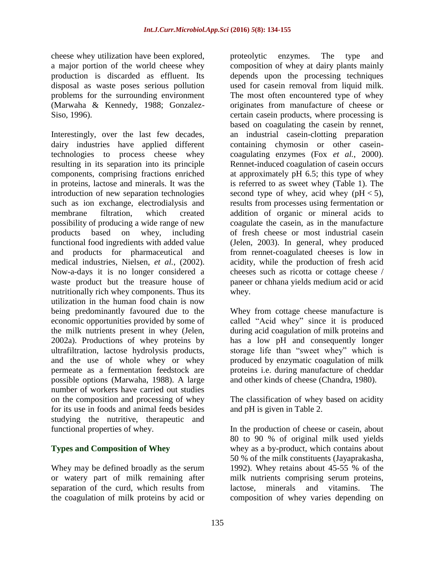cheese whey utilization have been explored, a major portion of the world cheese whey production is discarded as effluent. Its disposal as waste poses serious pollution problems for the surrounding environment (Marwaha & Kennedy, 1988; Gonzalez-Siso, 1996).

Interestingly, over the last few decades, dairy industries have applied different technologies to process cheese whey resulting in its separation into its principle components, comprising fractions enriched in proteins, lactose and minerals. It was the introduction of new separation technologies such as ion exchange, electrodialysis and membrane filtration, which created possibility of producing a wide range of new products based on whey, including functional food ingredients with added value and products for pharmaceutical and medical industries, Nielsen, *et al.,* (2002). Now-a-days it is no longer considered a waste product but the treasure house of nutritionally rich whey components. Thus its utilization in the human food chain is now being predominantly favoured due to the economic opportunities provided by some of the milk nutrients present in whey (Jelen, 2002a). Productions of whey proteins by ultrafiltration, lactose hydrolysis products, and the use of whole whey or whey permeate as a fermentation feedstock are possible options (Marwaha, 1988). A large number of workers have carried out studies on the composition and processing of whey for its use in foods and animal feeds besides studying the nutritive, therapeutic and functional properties of whey.

## **Types and Composition of Whey**

Whey may be defined broadly as the serum or watery part of milk remaining after separation of the curd, which results from the coagulation of milk proteins by acid or

proteolytic enzymes. The type and composition of whey at dairy plants mainly depends upon the processing techniques used for casein removal from liquid milk. The most often encountered type of whey originates from manufacture of cheese or certain casein products, where processing is based on coagulating the casein by rennet, an industrial casein-clotting preparation containing chymosin or other caseincoagulating enzymes (Fox *et al.*, 2000). Rennet-induced coagulation of casein occurs at approximately pH 6.5; this type of whey is referred to as sweet whey (Table 1). The second type of whey, acid whey ( $pH < 5$ ), results from processes using fermentation or addition of organic or mineral acids to coagulate the casein, as in the manufacture of fresh cheese or most industrial casein (Jelen, 2003). In general, whey produced from rennet-coagulated cheeses is low in acidity, while the production of fresh acid cheeses such as ricotta or cottage cheese / paneer or chhana yields medium acid or acid whey.

Whey from cottage cheese manufacture is called "Acid whey" since it is produced during acid coagulation of milk proteins and has a low pH and consequently longer storage life than "sweet whey" which is produced by enzymatic coagulation of milk proteins i.e. during manufacture of cheddar and other kinds of cheese (Chandra, 1980).

The classification of whey based on acidity and pH is given in Table 2.

In the production of cheese or casein, about 80 to 90 % of original milk used yields whey as a by-product, which contains about 50 % of the milk constituents (Jayaprakasha, 1992). Whey retains about 45-55 % of the milk nutrients comprising serum proteins, lactose, minerals and vitamins. The composition of whey varies depending on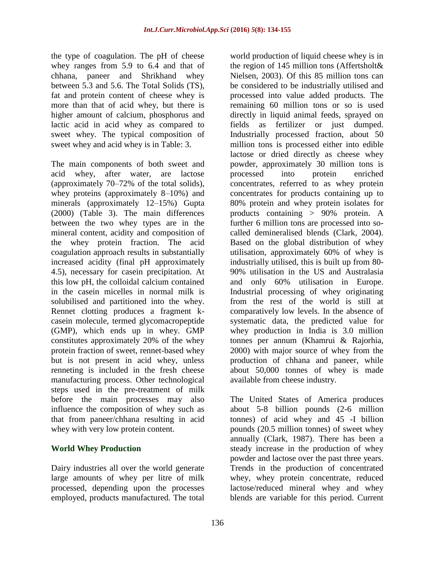the type of coagulation. The pH of cheese whey ranges from 5.9 to 6.4 and that of chhana, paneer and Shrikhand whey between 5.3 and 5.6. The Total Solids (TS), fat and protein content of cheese whey is more than that of acid whey, but there is higher amount of calcium, phosphorus and lactic acid in acid whey as compared to sweet whey. The typical composition of sweet whey and acid whey is in Table: 3.

The main components of both sweet and acid whey, after water, are lactose (approximately 70–72% of the total solids), whey proteins (approximately 8–10%) and minerals (approximately 12–15%) Gupta (2000) (Table 3). The main differences between the two whey types are in the mineral content, acidity and composition of the whey protein fraction. The acid coagulation approach results in substantially increased acidity (final pH approximately 4.5), necessary for casein precipitation. At this low pH, the colloidal calcium contained in the casein micelles in normal milk is solubilised and partitioned into the whey. Rennet clotting produces a fragment kcasein molecule, termed glycomacropeptide (GMP), which ends up in whey. GMP constitutes approximately 20% of the whey protein fraction of sweet, rennet-based whey but is not present in acid whey, unless renneting is included in the fresh cheese manufacturing process. Other technological steps used in the pre-treatment of milk before the main processes may also influence the composition of whey such as that from paneer/chhana resulting in acid whey with very low protein content.

## **World Whey Production**

Dairy industries all over the world generate large amounts of whey per litre of milk processed, depending upon the processes employed, products manufactured. The total

world production of liquid cheese whey is in the region of 145 million tons (Affertsholt& Nielsen, 2003). Of this 85 million tons can be considered to be industrially utilised and processed into value added products. The remaining 60 million tons or so is used directly in liquid animal feeds, sprayed on fields as fertilizer or just dumped. Industrially processed fraction, about 50 million tons is processed either into edible lactose or dried directly as cheese whey powder, approximately 30 million tons is processed into protein enriched concentrates, referred to as whey protein concentrates for products containing up to 80% protein and whey protein isolates for products containing > 90% protein. A further 6 million tons are processed into socalled demineralised blends (Clark, 2004). Based on the global distribution of whey utilisation, approximately 60% of whey is industrially utilised, this is built up from 80- 90% utilisation in the US and Australasia and only 60% utilisation in Europe. Industrial processing of whey originating from the rest of the world is still at comparatively low levels. In the absence of systematic data, the predicted value for whey production in India is 3.0 million tonnes per annum (Khamrui & Rajorhia, 2000) with major source of whey from the production of chhana and paneer, while about 50,000 tonnes of whey is made available from cheese industry.

The United States of America produces about 5-8 billion pounds (2-6 million tonnes) of acid whey and 45 -I billion pounds (20.5 million tonnes) of sweet whey annually (Clark, 1987). There has been a steady increase in the production of whey powder and lactose over the past three years. Trends in the production of concentrated whey, whey protein concentrate, reduced lactose/reduced mineral whey and whey blends are variable for this period. Current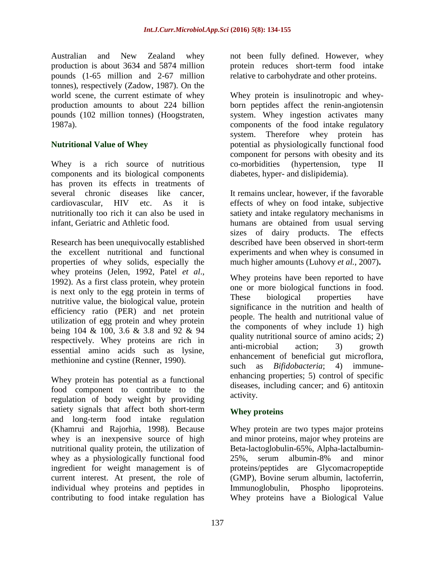Australian and New Zealand whey production is about 3634 and 5874 million pounds (1-65 million and 2-67 million tonnes), respectively (Zadow, 1987). On the world scene, the current estimate of whey production amounts to about 224 billion pounds (102 million tonnes) (Hoogstraten, 1987a).

## **Nutritional Value of Whey**

Whey is a rich source of nutritious components and its biological components has proven its effects in treatments of several chronic diseases like cancer, cardiovascular, HIV etc. As it is nutritionally too rich it can also be used in infant, Geriatric and Athletic food.

Research has been unequivocally established the excellent nutritional and functional properties of whey solids, especially the whey proteins (Jelen, 1992, Patel *et al*., 1992). As a first class protein, whey protein is next only to the egg protein in terms of nutritive value, the biological value, protein efficiency ratio (PER) and net protein utilization of egg protein and whey protein being 104 & 100, 3.6 & 3.8 and 92 & 94 respectively. Whey proteins are rich in essential amino acids such as lysine, methionine and cystine (Renner, 1990).

Whey protein has potential as a functional food component to contribute to the regulation of body weight by providing satiety signals that affect both short-term and long-term food intake regulation (Khamrui and Rajorhia, 1998). Because whey is an inexpensive source of high nutritional quality protein, the utilization of whey as a physiologically functional food ingredient for weight management is of current interest. At present, the role of individual whey proteins and peptides in contributing to food intake regulation has

not been fully defined. However, whey protein reduces short-term food intake relative to carbohydrate and other proteins.

Whey protein is insulinotropic and wheyborn peptides affect the renin-angiotensin system. Whey ingestion activates many components of the food intake regulatory system. Therefore whey protein has potential as physiologically functional food component for persons with obesity and its co-morbidities (hypertension, type II diabetes, hyper- and dislipidemia).

It remains unclear, however, if the favorable effects of whey on food intake, subjective satiety and intake regulatory mechanisms in humans are obtained from usual serving sizes of dairy products. The effects described have been observed in short-term experiments and when whey is consumed in much higher amounts (Luhovy *et al.*, 2007)**.**

Whey proteins have been reported to have one or more biological functions in food. These biological properties have significance in the nutrition and health of people. The health and nutritional value of the components of whey include 1) high quality nutritional source of amino acids; 2) anti-microbial action; 3) growth enhancement of beneficial gut microflora, such as *Bifidobacteria*; 4) immuneenhancing properties; 5) control of specific diseases, including cancer; and 6) antitoxin activity.

## **Whey proteins**

Whey protein are two types major proteins and minor proteins, major whey proteins are Beta-lactoglobulin-65%, Alpha-lactalbumin-25%, serum albumin-8% and minor proteins/peptides are Glycomacropeptide (GMP), Bovine serum albumin, lactoferrin, Immunoglobulin, Phospho lipoproteins. Whey proteins have a Biological Value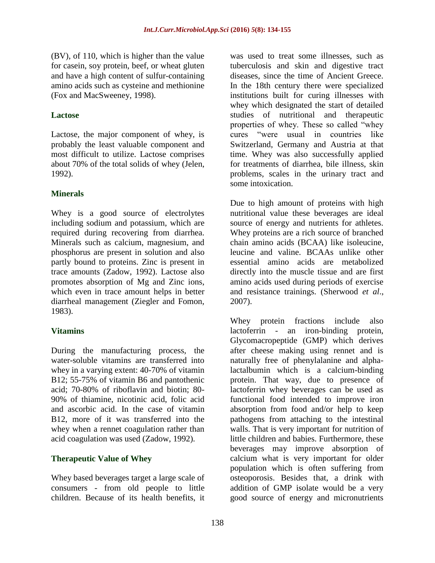(BV), of 110, which is higher than the value for casein, soy protein, beef, or wheat gluten and have a high content of sulfur-containing amino acids such as cysteine and methionine (Fox and MacSweeney, 1998).

## **Lactose**

Lactose, the major component of whey, is probably the least valuable component and most difficult to utilize. Lactose comprises about 70% of the total solids of whey (Jelen, 1992).

## **Minerals**

Whey is a good source of electrolytes including sodium and potassium, which are required during recovering from diarrhea. Minerals such as calcium, magnesium, and phosphorus are present in solution and also partly bound to proteins. Zinc is present in trace amounts (Zadow, 1992). Lactose also promotes absorption of Mg and Zinc ions, which even in trace amount helps in better diarrheal management (Ziegler and Fomon, 1983).

## **Vitamins**

During the manufacturing process, the water-soluble vitamins are transferred into whey in a varying extent: 40-70% of vitamin B12; 55-75% of vitamin B6 and pantothenic acid; 70-80% of riboflavin and biotin; 80- 90% of thiamine, nicotinic acid, folic acid and ascorbic acid. In the case of vitamin B12, more of it was transferred into the whey when a rennet coagulation rather than acid coagulation was used (Zadow, 1992).

## **Therapeutic Value of Whey**

Whey based beverages target a large scale of consumers - from old people to little children. Because of its health benefits, it

was used to treat some illnesses, such as tuberculosis and skin and digestive tract diseases, since the time of Ancient Greece. In the 18th century there were specialized institutions built for curing illnesses with whey which designated the start of detailed studies of nutritional and therapeutic properties of whey. These so called "whey cures "were usual in countries like Switzerland, Germany and Austria at that time. Whey was also successfully applied for treatments of diarrhea, bile illness, skin problems, scales in the urinary tract and some intoxication.

Due to high amount of proteins with high nutritional value these beverages are ideal source of energy and nutrients for athletes. Whey proteins are a rich source of branched chain amino acids (BCAA) like isoleucine, leucine and valine. BCAAs unlike other essential amino acids are metabolized directly into the muscle tissue and are first amino acids used during periods of exercise and resistance trainings. (Sherwood *et al*., 2007).

Whey protein fractions include also lactoferrin - an iron-binding protein, Glycomacropeptide (GMP) which derives after cheese making using rennet and is naturally free of phenylalanine and alphalactalbumin which is a calcium-binding protein. That way, due to presence of lactoferrin whey beverages can be used as functional food intended to improve iron absorption from food and/or help to keep pathogens from attaching to the intestinal walls. That is very important for nutrition of little children and babies. Furthermore, these beverages may improve absorption of calcium what is very important for older population which is often suffering from osteoporosis. Besides that, a drink with addition of GMP isolate would be a very good source of energy and micronutrients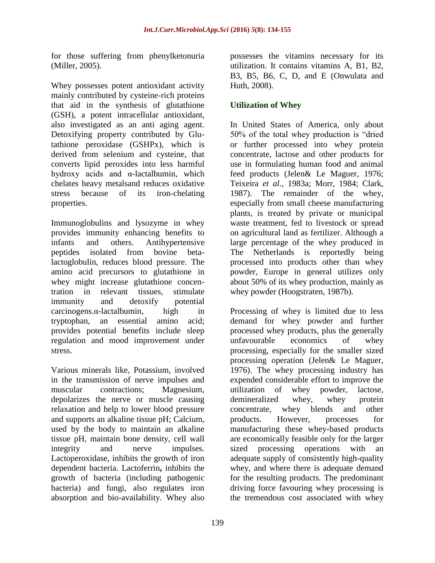for those suffering from phenylketonuria (Miller, 2005).

Whey possesses potent antioxidant activity mainly contributed by cysteine-rich proteins that aid in the synthesis of glutathione (GSH), a potent intracellular antioxidant, also investigated as an anti aging agent. Detoxifying property contributed by Glutathione peroxidase (GSHPx), which is derived from selenium and cysteine, that converts lipid peroxides into less harmful hydroxy acids and α-lactalbumin, which chelates heavy metalsand reduces oxidative stress because of its iron-chelating properties.

Immunoglobulins and lysozyme in whey provides immunity enhancing benefits to infants and others. Antihypertensive peptides isolated from bovine betalactoglobulin, reduces blood pressure. The amino acid precursors to glutathione in whey might increase glutathione concentration in relevant tissues, stimulate immunity and detoxify potential carcinogens.α-lactalbumin, high in tryptophan, an essential amino acid; provides potential benefits include sleep regulation and mood improvement under stress.

Various minerals like, Potassium, involved in the transmission of nerve impulses and muscular contractions; Magnesium, depolarizes the nerve or muscle causing relaxation and help to lower blood pressure and supports an alkaline tissue pH; Calcium, used by the body to maintain an alkaline tissue pH, maintain bone density, cell wall integrity and nerve impulses. Lactoperoxidase, inhibits the growth of iron dependent bacteria. Lactoferrin**,** inhibits the growth of bacteria (including pathogenic bacteria) and fungi, also regulates iron absorption and bio-availability. Whey also

possesses the vitamins necessary for its utilization. It contains vitamins A, B1, B2, B3, B5, B6, C, D, and E (Onwulata and Huth, 2008).

## **Utilization of Whey**

In United States of America, only about 50% of the total whey production is "dried or further processed into whey protein concentrate, lactose and other products for use in formulating human food and animal feed products (Jelen& Le Maguer, 1976; Teixeira *et al.,* 1983a; Morr, 1984; Clark, 1987). The remainder of the whey, especially from small cheese manufacturing plants, is treated by private or municipal waste treatment, fed to livestock or spread on agricultural land as fertilizer. Although a large percentage of the whey produced in The Netherlands is reportedly being processed into products other than whey powder, Europe in general utilizes only about 50% of its whey production, mainly as whey powder (Hoogstraten, 1987b).

Processing of whey is limited due to less demand for whey powder and further processed whey products, plus the generally unfavourable economics of whey processing, especially for the smaller sized processing operation (Jelen& Le Maguer, 1976). The whey processing industry has expended considerable effort to improve the utilization of whey powder, lactose, demineralized whey, whey protein concentrate, whey blends and other products. However, processes for manufacturing these whey-based products are economically feasible only for the larger sized processing operations with an adequate supply of consistently high-quality whey, and where there is adequate demand for the resulting products. The predominant driving force favouring whey processing is the tremendous cost associated with whey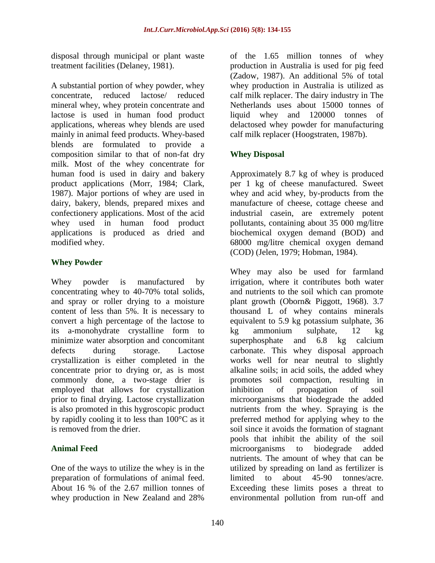disposal through municipal or plant waste treatment facilities (Delaney, 1981).

A substantial portion of whey powder, whey concentrate, reduced lactose/ reduced mineral whey, whey protein concentrate and lactose is used in human food product applications, whereas whey blends are used mainly in animal feed products. Whey-based blends are formulated to provide a composition similar to that of non-fat dry milk. Most of the whey concentrate for human food is used in dairy and bakery product applications (Morr, 1984; Clark, 1987). Major portions of whey are used in dairy, bakery, blends, prepared mixes and confectionery applications. Most of the acid whey used in human food product applications is produced as dried and modified whey.

## **Whey Powder**

Whey powder is manufactured by concentrating whey to 40-70% total solids, and spray or roller drying to a moisture content of less than 5%. It is necessary to convert a high percentage of the lactose to its a-monohydrate crystalline form to minimize water absorption and concomitant defects during storage. Lactose crystallization is either completed in the concentrate prior to drying or, as is most commonly done, a two-stage drier is employed that allows for crystallization prior to final drying. Lactose crystallization is also promoted in this hygroscopic product by rapidly cooling it to less than 100°C as it is removed from the drier.

## **Animal Feed**

One of the ways to utilize the whey is in the preparation of formulations of animal feed. About 16 % of the 2.67 million tonnes of whey production in New Zealand and 28%

of the 1.65 million tonnes of whey production in Australia is used for pig feed (Zadow, 1987). An additional 5% of total whey production in Australia is utilized as calf milk replacer. The dairy industry in The Netherlands uses about 15000 tonnes of liquid whey and 120000 tonnes of delactosed whey powder for manufacturing calf milk replacer (Hoogstraten, 1987b).

# **Whey Disposal**

Approximately 8.7 kg of whey is produced per 1 kg of cheese manufactured. Sweet whey and acid whey, by-products from the manufacture of cheese, cottage cheese and industrial casein, are extremely potent pollutants, containing about 35 000 mg/litre biochemical oxygen demand (BOD) and 68000 mg/litre chemical oxygen demand (COD) (Jelen, 1979; Hobman, 1984).

Whey may also be used for farmland irrigation, where it contributes both water and nutrients to the soil which can promote plant growth (Oborn& Piggott, 1968). 3.7 thousand L of whey contains minerals equivalent to 5.9 kg potassium sulphate, 36 kg ammonium sulphate, 12 kg superphosphate and 6.8 kg calcium carbonate. This whey disposal approach works well for near neutral to slightly alkaline soils; in acid soils, the added whey promotes soil compaction, resulting in inhibition of propagation of soil microorganisms that biodegrade the added nutrients from the whey. Spraying is the preferred method for applying whey to the soil since it avoids the formation of stagnant pools that inhibit the ability of the soil microorganisms to biodegrade added nutrients. The amount of whey that can be utilized by spreading on land as fertilizer is limited to about 45-90 tonnes/acre. Exceeding these limits poses a threat to environmental pollution from run-off and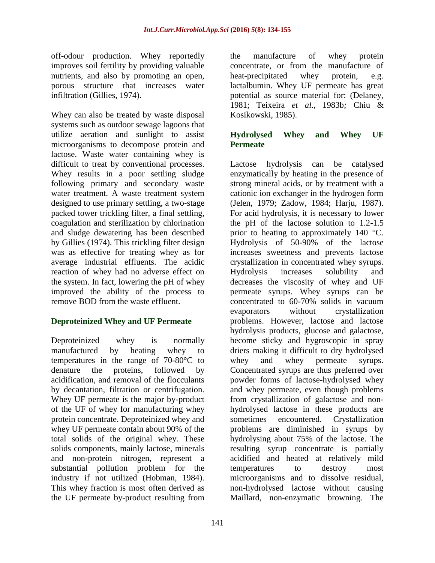off-odour production. Whey reportedly improves soil fertility by providing valuable nutrients, and also by promoting an open, porous structure that increases water infiltration (Gillies, 1974).

Whey can also be treated by waste disposal systems such as outdoor sewage lagoons that utilize aeration and sunlight to assist microorganisms to decompose protein and lactose. Waste water containing whey is difficult to treat by conventional processes. Whey results in a poor settling sludge following primary and secondary waste water treatment. A waste treatment system designed to use primary settling, a two-stage packed tower trickling filter, a final settling, coagulation and sterilization by chlorination and sludge dewatering has been described by Gillies (1974). This trickling filter design was as effective for treating whey as for average industrial effluents. The acidic reaction of whey had no adverse effect on the system. In fact, lowering the pH of whey improved the ability of the process to remove BOD from the waste effluent.

## **Deproteinized Whey and UF Permeate**

Deproteinized whey is normally manufactured by heating whey to temperatures in the range of 70-80°C to denature the proteins, followed by acidification, and removal of the flocculants by decantation, filtration or centrifugation. Whey UF permeate is the major by-product of the UF of whey for manufacturing whey protein concentrate. Deproteinized whey and whey UF permeate contain about 90% of the total solids of the original whey. These solids components, mainly lactose, minerals and non-protein nitrogen, represent a substantial pollution problem for the industry if not utilized (Hobman, 1984). This whey fraction is most often derived as the UF permeate by-product resulting from

the manufacture of whey protein concentrate, or from the manufacture of heat-precipitated whey protein, e.g. lactalbumin. Whey UF permeate has great potential as source material for: (Delaney, 1981; Teixeira *et al.,* 1983b*;* Chiu & Kosikowski, 1985).

## **Hydrolysed Whey and Whey UF Permeate**

Lactose hydrolysis can be catalysed enzymatically by heating in the presence of strong mineral acids, or by treatment with a cationic ion exchanger in the hydrogen form (Jelen, 1979; Zadow, 1984; Harju, 1987). For acid hydrolysis, it is necessary to lower the pH of the lactose solution to 1.2-1.5 prior to heating to approximately 140 °C. Hydrolysis of 50-90% of the lactose increases sweetness and prevents lactose crystallization in concentrated whey syrups. Hydrolysis increases solubility and decreases the viscosity of whey and UF permeate syrups. Whey syrups can be concentrated to 60-70% solids in vacuum evaporators without crystallization problems. However, lactose and lactose hydrolysis products, glucose and galactose, become sticky and hygroscopic in spray driers making it difficult to dry hydrolysed whey and whey permeate syrups. Concentrated syrups are thus preferred over powder forms of lactose-hydrolysed whey and whey permeate, even though problems from crystallization of galactose and nonhydrolysed lactose in these products are sometimes encountered. Crystallization problems are diminished in syrups by hydrolysing about 75% of the lactose. The resulting syrup concentrate is partially acidified and heated at relatively mild temperatures to destroy most microorganisms and to dissolve residual, non-hydrolysed lactose without causing Maillard, non-enzymatic browning. The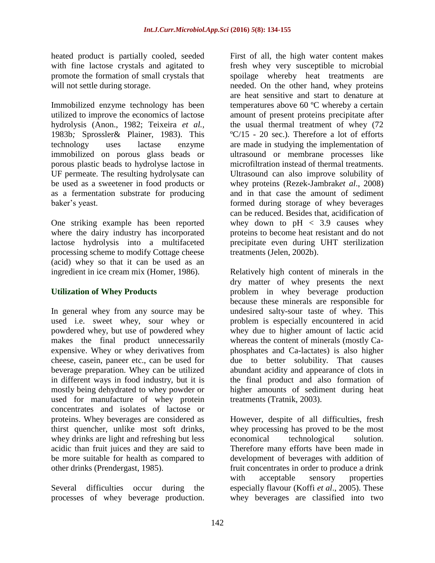heated product is partially cooled, seeded with fine lactose crystals and agitated to promote the formation of small crystals that will not settle during storage.

Immobilized enzyme technology has been utilized to improve the economics of lactose hydrolysis (Anon., 1982; Teixeira *et al.,*  1983b*;* Sprossler& Plainer, 1983). This technology uses lactase enzyme immobilized on porous glass beads or porous plastic beads to hydrolyse lactose in UF permeate. The resulting hydrolysate can be used as a sweetener in food products or as a fermentation substrate for producing baker's yeast.

One striking example has been reported where the dairy industry has incorporated lactose hydrolysis into a multifaceted processing scheme to modify Cottage cheese (acid) whey so that it can be used as an ingredient in ice cream mix (Homer, 1986).

## **Utilization of Whey Products**

In general whey from any source may be used i.e. sweet whey, sour whey or powdered whey, but use of powdered whey makes the final product unnecessarily expensive. Whey or whey derivatives from cheese, casein, paneer etc., can be used for beverage preparation. Whey can be utilized in different ways in food industry, but it is mostly being dehydrated to whey powder or used for manufacture of whey protein concentrates and isolates of lactose or proteins. Whey beverages are considered as thirst quencher, unlike most soft drinks, whey drinks are light and refreshing but less acidic than fruit juices and they are said to be more suitable for health as compared to other drinks (Prendergast, 1985).

Several difficulties occur during the processes of whey beverage production. First of all, the high water content makes fresh whey very susceptible to microbial spoilage whereby heat treatments are needed. On the other hand, whey proteins are heat sensitive and start to denature at temperatures above 60 ºC whereby a certain amount of present proteins precipitate after the usual thermal treatment of whey (72  $\textdegree C/15$  - 20 sec.). Therefore a lot of efforts are made in studying the implementation of ultrasound or membrane processes like microfiltration instead of thermal treatments. Ultrasound can also improve solubility of whey proteins (Rezek-Jambrak*et al*., 2008) and in that case the amount of sediment formed during storage of whey beverages can be reduced. Besides that, acidification of whey down to  $pH < 3.9$  causes whey proteins to become heat resistant and do not precipitate even during UHT sterilization treatments (Jelen, 2002b).

Relatively high content of minerals in the dry matter of whey presents the next problem in whey beverage production because these minerals are responsible for undesired salty-sour taste of whey. This problem is especially encountered in acid whey due to higher amount of lactic acid whereas the content of minerals (mostly Caphosphates and Ca-lactates) is also higher due to better solubility. That causes abundant acidity and appearance of clots in the final product and also formation of higher amounts of sediment during heat treatments (Tratnik, 2003).

However, despite of all difficulties, fresh whey processing has proved to be the most economical technological solution. Therefore many efforts have been made in development of beverages with addition of fruit concentrates in order to produce a drink with acceptable sensory properties especially flavour (Koffi *et al*., 2005). These whey beverages are classified into two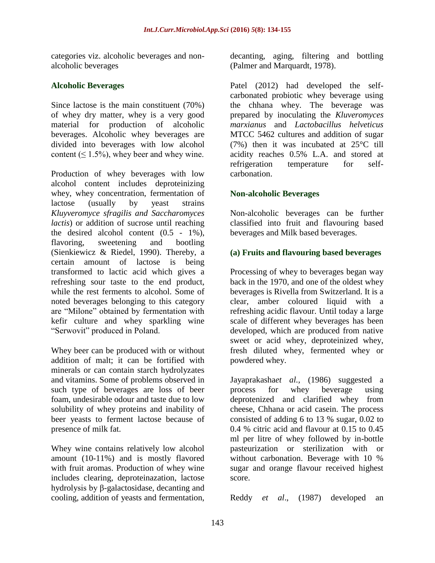categories viz. alcoholic beverages and nonalcoholic beverages

## **Alcoholic Beverages**

Since lactose is the main constituent (70%) of whey dry matter, whey is a very good material for production of alcoholic beverages. Alcoholic whey beverages are divided into beverages with low alcohol content ( $\leq 1.5\%$ ), whey beer and whey wine.

Production of whey beverages with low alcohol content includes deproteinizing whey, whey concentration, fermentation of lactose (usually by yeast strains *Kluyveromyce sfragilis and Saccharomyces lactis*) or addition of sucrose until reaching the desired alcohol content  $(0.5 - 1\%)$ , flavoring, sweetening and bootling (Sienkiewicz & Riedel, 1990). Thereby, a certain amount of lactose is being transformed to lactic acid which gives a refreshing sour taste to the end product, while the rest ferments to alcohol. Some of noted beverages belonging to this category are "Milone" obtained by fermentation with kefir culture and whey sparkling wine "Serwovit" produced in Poland.

Whey beer can be produced with or without addition of malt; it can be fortified with minerals or can contain starch hydrolyzates and vitamins. Some of problems observed in such type of beverages are loss of beer foam, undesirable odour and taste due to low solubility of whey proteins and inability of beer yeasts to ferment lactose because of presence of milk fat.

Whey wine contains relatively low alcohol amount (10-11%) and is mostly flavored with fruit aromas. Production of whey wine includes clearing, deproteinazation, lactose hydrolysis by β-galactosidase, decanting and cooling, addition of yeasts and fermentation,

decanting, aging, filtering and bottling (Palmer and Marquardt, 1978).

Patel (2012) had developed the selfcarbonated probiotic whey beverage using the chhana whey. The beverage was prepared by inoculating the *Kluveromyces marxianus* and *Lactobacillus helveticus* MTCC 5462 cultures and addition of sugar (7%) then it was incubated at 25°C till acidity reaches 0.5% L.A. and stored at refrigeration temperature for selfcarbonation.

## **Non-alcoholic Beverages**

Non-alcoholic beverages can be further classified into fruit and flavouring based beverages and Milk based beverages.

## **(a) Fruits and flavouring based beverages**

Processing of whey to beverages began way back in the 1970, and one of the oldest whey beverages is Rivella from Switzerland. It is a clear, amber coloured liquid with a refreshing acidic flavour. Until today a large scale of different whey beverages has been developed, which are produced from native sweet or acid whey, deproteinized whey, fresh diluted whey, fermented whey or powdered whey.

Jayaprakasha*et al.,* (1986) suggested a process for whey beverage using deprotenized and clarified whey from cheese, Chhana or acid casein. The process consisted of adding 6 to 13 % sugar, 0.02 to 0.4 % citric acid and flavour at 0.15 to 0.45 ml per litre of whey followed by in-bottle pasteurization or sterilization with or without carbonation. Beverage with 10 % sugar and orange flavour received highest score.

Reddy *et al*., (1987) developed an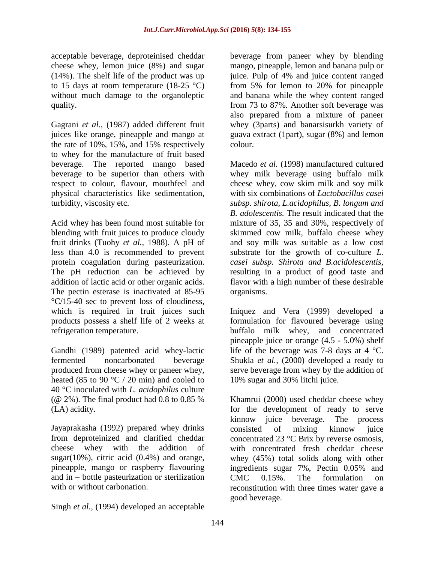acceptable beverage, deproteinised cheddar cheese whey, lemon juice (8%) and sugar (14%). The shelf life of the product was up to 15 days at room temperature  $(18-25 \degree C)$ without much damage to the organoleptic quality.

Gagrani *et al.,* (1987) added different fruit juices like orange, pineapple and mango at the rate of 10%, 15%, and 15% respectively to whey for the manufacture of fruit based beverage. The reported mango based beverage to be superior than others with respect to colour, flavour, mouthfeel and physical characteristics like sedimentation, turbidity, viscosity etc.

Acid whey has been found most suitable for blending with fruit juices to produce cloudy fruit drinks (Tuohy *et al.,* 1988). A pH of less than 4.0 is recommended to prevent protein coagulation during pasteurization. The pH reduction can be achieved by addition of lactic acid or other organic acids. The pectin esterase is inactivated at 85-95 °C/15-40 sec to prevent loss of cloudiness, which is required in fruit juices such products possess a shelf life of 2 weeks at refrigeration temperature.

Gandhi (1989) patented acid whey-lactic fermented noncarbonated beverage produced from cheese whey or paneer whey, heated (85 to 90  $\degree$ C / 20 min) and cooled to 40 °C inoculated with *L. acidophilus* culture ( $@ 2\%$ ). The final product had 0.8 to 0.85  $\%$ (LA) acidity.

Jayaprakasha (1992) prepared whey drinks from deproteinized and clarified cheddar cheese whey with the addition of sugar $(10\%)$ , citric acid  $(0.4\%)$  and orange, pineapple, mango or raspberry flavouring and in – bottle pasteurization or sterilization with or without carbonation.

Singh *et al.,* (1994) developed an acceptable

beverage from paneer whey by blending mango, pineapple, lemon and banana pulp or juice. Pulp of 4% and juice content ranged from 5% for lemon to 20% for pineapple and banana while the whey content ranged from 73 to 87%. Another soft beverage was also prepared from a mixture of paneer whey (3parts) and banarsisurkh variety of guava extract (1part), sugar (8%) and lemon colour.

Macedo *et al.* (1998) manufactured cultured whey milk beverage using buffalo milk cheese whey, cow skim milk and soy milk with six combinations of *Lactobacillus casei subsp. shirota, L.acidophilus, B. longum and B. adolescentis.* The result indicated that the mixture of 35, 35 and 30%, respectively of skimmed cow milk, buffalo cheese whey and soy milk was suitable as a low cost substrate for the growth of co-culture *L. casei subsp. Shirota and B.acidolescentis,*  resulting in a product of good taste and flavor with a high number of these desirable organisms.

Iniquez and Vera (1999) developed a formulation for flavoured beverage using buffalo milk whey, and concentrated pineapple juice or orange (4.5 - 5.0%) shelf life of the beverage was 7-8 days at  $4^{\circ}$ C. Shukla *et al.,* (2000) developed a ready to serve beverage from whey by the addition of 10% sugar and 30% litchi juice.

Khamrui (2000) used cheddar cheese whey for the development of ready to serve kinnow juice beverage. The process consisted of mixing kinnow juice concentrated 23 °C Brix by reverse osmosis, with concentrated fresh cheddar cheese whey (45%) total solids along with other ingredients sugar 7%, Pectin 0.05% and CMC 0.15%. The formulation on reconstitution with three times water gave a good beverage.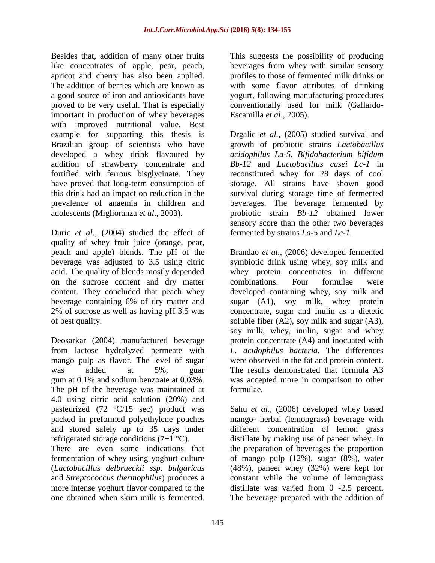Besides that, addition of many other fruits like concentrates of apple, pear, peach, apricot and cherry has also been applied. The addition of berries which are known as a good source of iron and antioxidants have proved to be very useful. That is especially important in production of whey beverages with improved nutritional value. Best example for supporting this thesis is Brazilian group of scientists who have developed a whey drink flavoured by addition of strawberry concentrate and fortified with ferrous bisglycinate. They have proved that long-term consumption of this drink had an impact on reduction in the prevalence of anaemia in children and adolescents (Miglioranza *et al*., 2003).

Duric *et al.,* (2004) studied the effect of quality of whey fruit juice (orange, pear, peach and apple) blends. The pH of the beverage was adjusted to 3.5 using citric acid. The quality of blends mostly depended on the sucrose content and dry matter content. They concluded that peach–whey beverage containing 6% of dry matter and 2% of sucrose as well as having pH 3.5 was of best quality.

Deosarkar (2004) manufactured beverage from lactose hydrolyzed permeate with mango pulp as flavor. The level of sugar was added at 5% guar gum at 0.1% and sodium benzoate at 0.03%. The pH of the beverage was maintained at 4.0 using citric acid solution (20%) and pasteurized (72 ºC/15 sec) product was packed in preformed polyethylene pouches and stored safely up to 35 days under refrigerated storage conditions  $(7\pm1$  °C).

There are even some indications that fermentation of whey using yoghurt culture (*Lactobacillus delbrueckii ssp. bulgaricus* and *Streptococcus thermophilus*) produces a more intense yoghurt flavor compared to the one obtained when skim milk is fermented.

This suggests the possibility of producing beverages from whey with similar sensory profiles to those of fermented milk drinks or with some flavor attributes of drinking yogurt, following manufacturing procedures conventionally used for milk (Gallardo-Escamilla *et al*., 2005).

Drgalic *et al.,* (2005) studied survival and growth of probiotic strains *Lactobacillus acidophilus La-5*, *Bifidobacterium bifidum Bb-12* and *Lactobacillus casei Lc-1* in reconstituted whey for 28 days of cool storage. All strains have shown good survival during storage time of fermented beverages. The beverage fermented by probiotic strain *Bb-12* obtained lower sensory score than the other two beverages fermented by strains *La-5* and *Lc-1.*

Brandao *et al.,* (2006) developed fermented symbiotic drink using whey, soy milk and whey protein concentrates in different combinations. Four formulae were developed containing whey, soy milk and sugar (A1), soy milk, whey protein concentrate, sugar and inulin as a dietetic soluble fiber (A2), soy milk and sugar (A3), soy milk, whey, inulin, sugar and whey protein concentrate (A4) and inocuated with *L. acidophilus bacteria.* The differences were observed in the fat and protein content. The results demonstrated that formula A3 was accepted more in comparison to other formulae.

Sahu *et al.,* (2006) developed whey based mango- herbal (lemongrass) beverage with different concentration of lemon grass distillate by making use of paneer whey. In the preparation of beverages the proportion of mango pulp (12%), sugar (8%), water (48%), paneer whey (32%) were kept for constant while the volume of lemongrass distillate was varied from 0 -2.5 percent. The beverage prepared with the addition of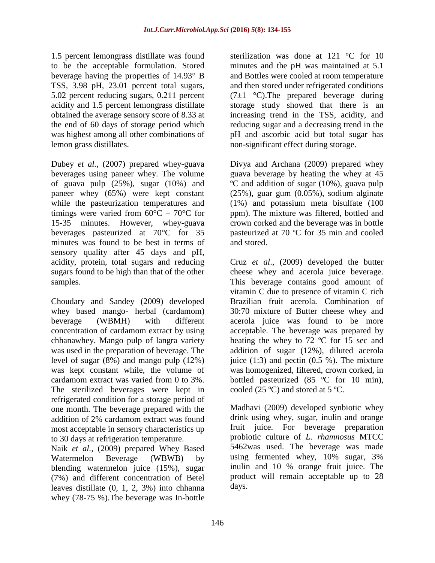1.5 percent lemongrass distillate was found to be the acceptable formulation. Stored beverage having the properties of 14.93° B TSS, 3.98 pH, 23.01 percent total sugars, 5.02 percent reducing sugars, 0.211 percent acidity and 1.5 percent lemongrass distillate obtained the average sensory score of 8.33 at the end of 60 days of storage period which was highest among all other combinations of lemon grass distillates.

Dubey *et al.,* (2007) prepared whey-guava beverages using paneer whey. The volume of guava pulp (25%), sugar (10%) and paneer whey (65%) were kept constant while the pasteurization temperatures and timings were varied from  $60^{\circ}$ C –  $70^{\circ}$ C for 15-35 minutes. However, whey-guava beverages pasteurized at 70°C for 35 minutes was found to be best in terms of sensory quality after 45 days and pH, acidity, protein, total sugars and reducing sugars found to be high than that of the other samples.

Choudary and Sandey (2009) developed whey based mango- herbal (cardamom) beverage (WBMH) with different concentration of cardamom extract by using chhanawhey. Mango pulp of langra variety was used in the preparation of beverage. The level of sugar (8%) and mango pulp (12%) was kept constant while, the volume of cardamom extract was varied from 0 to 3%. The sterilized beverages were kept in refrigerated condition for a storage period of one month. The beverage prepared with the addition of 2% cardamom extract was found most acceptable in sensory characteristics up to 30 days at refrigeration temperature.

Naik *et al.,* (2009) prepared Whey Based Watermelon Beverage (WBWB) by blending watermelon juice (15%), sugar (7%) and different concentration of Betel leaves distillate (0, 1, 2, 3%) into chhanna whey (78-75 %).The beverage was In-bottle

sterilization was done at 121 °C for 10 minutes and the pH was maintained at 5.1 and Bottles were cooled at room temperature and then stored under refrigerated conditions  $(7\pm1~\degree C)$ . The prepared beverage during storage study showed that there is an increasing trend in the TSS, acidity, and reducing sugar and a decreasing trend in the pH and ascorbic acid but total sugar has non-significant effect during storage.

Divya and Archana (2009) prepared whey guava beverage by heating the whey at 45 ºC and addition of sugar (10%), guava pulp (25%), guar gum (0.05%), sodium alginate (1%) and potassium meta bisulfate (100 ppm). The mixture was filtered, bottled and crown corked and the beverage was in bottle pasteurized at 70 ºC for 35 min and cooled and stored.

Cruz *et al*., (2009) developed the butter cheese whey and acerola juice beverage. This beverage contains good amount of vitamin C due to presence of vitamin C rich Brazilian fruit acerola. Combination of 30:70 mixture of Butter cheese whey and acerola juice was found to be more acceptable. The beverage was prepared by heating the whey to 72 ºC for 15 sec and addition of sugar (12%), diluted acerola juice  $(1:3)$  and pectin  $(0.5 \%)$ . The mixture was homogenized, filtered, crown corked, in bottled pasteurized (85 ºC for 10 min), cooled  $(25 \text{ °C})$  and stored at  $5 \text{ °C}$ .

Madhavi (2009) developed synbiotic whey drink using whey, sugar, inulin and orange fruit juice. For beverage preparation probiotic culture of *L. rhamnosus* MTCC 5462was used. The beverage was made using fermented whey, 10% sugar, 3% inulin and 10 % orange fruit juice. The product will remain acceptable up to 28 days.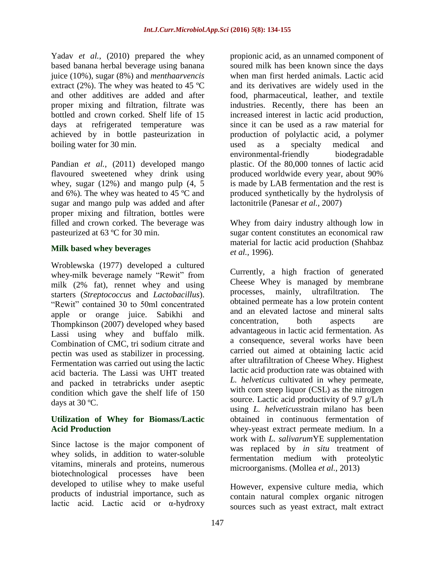Yadav *et al.*, (2010) prepared the whey based banana herbal beverage using banana juice (10%), sugar (8%) and *menthaarvencis* extract (2%). The whey was heated to 45  $^{\circ}$ C and other additives are added and after proper mixing and filtration, filtrate was bottled and crown corked. Shelf life of 15 days at refrigerated temperature was achieved by in bottle pasteurization in boiling water for 30 min.

Pandian *et al.*, (2011) developed mango flavoured sweetened whey drink using whey, sugar (12%) and mango pulp (4, 5 and 6%). The whey was heated to 45 ºC and sugar and mango pulp was added and after proper mixing and filtration, bottles were filled and crown corked. The beverage was pasteurized at 63 ºC for 30 min.

#### **Milk based whey beverages**

Wroblewska (1977) developed a cultured whey-milk beverage namely "Rewit" from milk (2% fat), rennet whey and using starters (*Streptococcus* and *Lactobacillus*). "Rewit" contained 30 to 50ml concentrated apple or orange juice. Sabikhi and Thompkinson (2007) developed whey based Lassi using whey and buffalo milk. Combination of CMC, tri sodium citrate and pectin was used as stabilizer in processing. Fermentation was carried out using the lactic acid bacteria. The Lassi was UHT treated and packed in tetrabricks under aseptic condition which gave the shelf life of 150 days at 30 ºC.

#### **Utilization of Whey for Biomass/Lactic Acid Production**

Since lactose is the major component of whey solids, in addition to water-soluble vitamins, minerals and proteins, numerous biotechnological processes have been developed to utilise whey to make useful products of industrial importance, such as lactic acid. Lactic acid or α-hydroxy

propionic acid, as an unnamed component of soured milk has been known since the days when man first herded animals. Lactic acid and its derivatives are widely used in the food, pharmaceutical, leather, and textile industries. Recently, there has been an increased interest in lactic acid production, since it can be used as a raw material for production of polylactic acid, a polymer used as a specialty medical and environmental-friendly biodegradable plastic. Of the 80,000 tonnes of lactic acid produced worldwide every year, about 90% is made by LAB fermentation and the rest is produced synthetically by the hydrolysis of lactonitrile (Panesar *et al.,* 2007)

Whey from dairy industry although low in sugar content constitutes an economical raw material for lactic acid production (Shahbaz *et al.,* 1996).

Currently, a high fraction of generated Cheese Whey is managed by membrane processes, mainly, ultrafiltration. The obtained permeate has a low protein content and an elevated lactose and mineral salts concentration, both aspects are advantageous in lactic acid fermentation. As a consequence, several works have been carried out aimed at obtaining lactic acid after ultrafiltration of Cheese Whey. Highest lactic acid production rate was obtained with *L. helveticus* cultivated in whey permeate, with corn steep liquor (CSL) as the nitrogen source. Lactic acid productivity of 9.7 g/L/h using *L. helveticus*strain milano has been obtained in continuous fermentation of whey-yeast extract permeate medium. In a work with *L. salivarum*YE supplementation was replaced by *in situ* treatment of fermentation medium with proteolytic microorganisms. (Mollea *et al.,* 2013)

However, expensive culture media, which contain natural complex organic nitrogen sources such as yeast extract, malt extract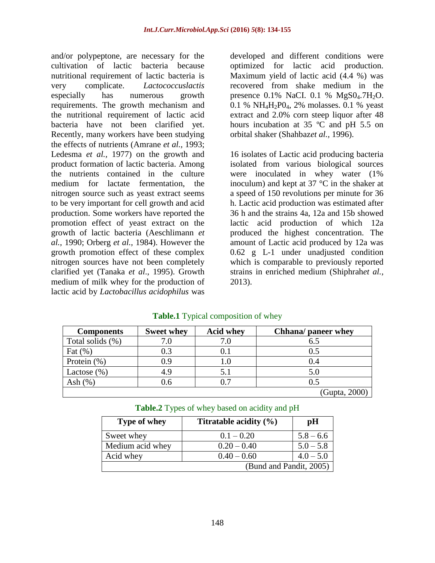and/or polypeptone, are necessary for the cultivation of lactic bacteria because nutritional requirement of lactic bacteria is very complicate. *Lactococcuslactis* especially has numerous growth requirements. The growth mechanism and the nutritional requirement of lactic acid bacteria have not been clarified yet. Recently, many workers have been studying the effects of nutrients (Amrane *et al.,* 1993; Ledesma *et al.,* 1977) on the growth and product formation of lactic bacteria. Among the nutrients contained in the culture medium for lactate fermentation, the nitrogen source such as yeast extract seems to be very important for cell growth and acid production. Some workers have reported the promotion effect of yeast extract on the growth of lactic bacteria (Aeschlimann *et al.,* 1990; Orberg *et al.,* 1984). However the growth promotion effect of these complex nitrogen sources have not been completely clarified yet (Tanaka *et al*., 1995). Growth medium of milk whey for the production of lactic acid by *Lactobacillus acidophilus* was

developed and different conditions were optimized for lactic acid production. Maximum yield of lactic acid (4.4 %) was recovered from shake medium in the presence  $0.1\%$  NaCI.  $0.1\%$  MgS $0.7H<sub>2</sub>O$ . 0.1 %  $NH_4H_2P0_4$ , 2% molasses. 0.1 % yeast extract and 2.0% corn steep liquor after 48 hours incubation at 35 ºC and pH 5.5 on orbital shaker (Shahbaz*et al.,* 1996).

16 isolates of Lactic acid producing bacteria isolated from various biological sources were inoculated in whey water (1% inoculum) and kept at  $37^{\circ}$ C in the shaker at a speed of 150 revolutions per minute for 36 h. Lactic acid production was estimated after 36 h and the strains 4a, 12a and 15b showed lactic acid production of which 12a produced the highest concentration. The amount of Lactic acid produced by 12a was 0.62 g L-1 under unadjusted condition which is comparable to previously reported strains in enriched medium (Shiphrah*et al.,* 2013).

| <b>Components</b> | <b>Sweet whey</b> | <b>Acid whey</b> | Chhana/ paneer whey |
|-------------------|-------------------|------------------|---------------------|
| Total solids (%)  |                   |                  | 6.5                 |
| Fat $(\% )$       | 0.3               | 0.1              | 0.5                 |
| Protein $(\% )$   | 0.9               | 1.0              | 0.4                 |
| Lactose $(\% )$   | 4.9               |                  | 5.0                 |
| Ash $(\%)$        | 0.6               |                  | 0.5                 |
|                   |                   |                  | (Gupta, 2000)       |

## **Table.1** Typical composition of whey

| Table.2 Types of whey based on acidity and pH |  |  |  |  |  |  |
|-----------------------------------------------|--|--|--|--|--|--|
|-----------------------------------------------|--|--|--|--|--|--|

| Type of whey            | Titratable acidity $(\% )$ | pН          |  |  |
|-------------------------|----------------------------|-------------|--|--|
| Sweet whey              | $0.1 - 0.20$               | $5.8 - 6.6$ |  |  |
| Medium acid whey        | $0.20 - 0.40$              | $5.0 - 5.8$ |  |  |
| Acid whey               | $0.40 - 0.60$              | $4.0 - 5.0$ |  |  |
| (Bund and Pandit, 2005) |                            |             |  |  |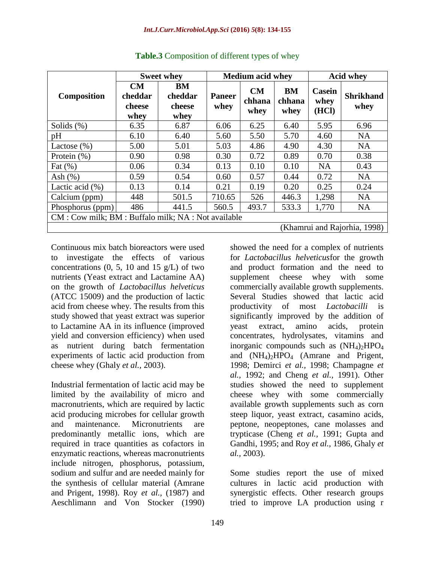|                                                      | <b>Sweet whey</b>               |                                 | <b>Medium acid whey</b> |                      | <b>Acid whey</b>     |                                |                          |
|------------------------------------------------------|---------------------------------|---------------------------------|-------------------------|----------------------|----------------------|--------------------------------|--------------------------|
| <b>Composition</b>                                   | CM<br>cheddar<br>cheese<br>whey | BM<br>cheddar<br>cheese<br>whey | <b>Paneer</b><br>whey   | CM<br>chhana<br>whey | BM<br>chhana<br>whey | <b>Casein</b><br>whey<br>(HCl) | <b>Shrikhand</b><br>whey |
| Solids $(\%)$                                        | 6.35                            | 6.87                            | 6.06                    | 6.25                 | 6.40                 | 5.95                           | 6.96                     |
| pH                                                   | 6.10                            | 6.40                            | 5.60                    | 5.50                 | 5.70                 | 4.60                           | <b>NA</b>                |
| Lactose $(\%)$                                       | 5.00                            | 5.01                            | 5.03                    | 4.86                 | 4.90                 | 4.30                           | <b>NA</b>                |
| Protein $(\%)$                                       | 0.90                            | 0.98                            | 0.30                    | 0.72                 | 0.89                 | 0.70                           | 0.38                     |
| Fat $(\% )$                                          | 0.06                            | 0.34                            | 0.13                    | 0.10                 | 0.10                 | <b>NA</b>                      | 0.43                     |
| Ash $(\% )$                                          | 0.59                            | 0.54                            | 0.60                    | 0.57                 | 0.44                 | 0.72                           | <b>NA</b>                |
| Lactic acid $(\%)$                                   | 0.13                            | 0.14                            | 0.21                    | 0.19                 | 0.20                 | 0.25                           | 0.24                     |
| Calcium (ppm)                                        | 448                             | 501.5                           | 710.65                  | 526                  | 446.3                | 1,298                          | <b>NA</b>                |
| Phosphorus (ppm)                                     | 486                             | 441.5                           | 560.5                   | 493.7                | 533.3                | 1,770                          | <b>NA</b>                |
| CM : Cow milk; BM : Buffalo milk; NA : Not available |                                 |                                 |                         |                      |                      |                                |                          |
| (Khamrui and Rajorhia, 1998)                         |                                 |                                 |                         |                      |                      |                                |                          |

**Table.3** Composition of different types of whey

Continuous mix batch bioreactors were used to investigate the effects of various concentrations  $(0, 5, 10, \text{ and } 15, \text{ g/L})$  of two nutrients (Yeast extract and Lactamine AA) on the growth of *Lactobacillus helveticus* (ATCC 15009) and the production of lactic acid from cheese whey. The results from this study showed that yeast extract was superior to Lactamine AA in its influence (improved yield and conversion efficiency) when used as nutrient during batch fermentation experiments of lactic acid production from cheese whey (Ghaly *et al.,* 2003).

Industrial fermentation of lactic acid may be limited by the availability of micro and macronutrients, which are required by lactic acid producing microbes for cellular growth and maintenance. Micronutrients are predominantly metallic ions, which are required in trace quantities as cofactors in enzymatic reactions, whereas macronutrients include nitrogen, phosphorus, potassium, sodium and sulfur and are needed mainly for the synthesis of cellular material (Amrane and Prigent, 1998). Roy *et al.,* (1987) and Aeschlimann and Von Stocker (1990)

showed the need for a complex of nutrients for *Lactobacillus helveticus*for the growth and product formation and the need to supplement cheese whey with some commercially available growth supplements. Several Studies showed that lactic acid productivity of most *Lactobacilli* is significantly improved by the addition of yeast extract, amino acids, protein concentrates, hydrolysates, vitamins and inorganic compounds such as  $(NH_4)_2HPO_4$ and  $(NH_4)_2HPO_4$  (Amrane and Prigent, 1998; Demirci *et al.,* 1998; Champagne *et al.,* 1992; and Cheng *et al.,* 1991). Other studies showed the need to supplement cheese whey with some commercially available growth supplements such as corn steep liquor, yeast extract, casamino acids, peptone, neopeptones, cane molasses and trypticase (Cheng *et al.,* 1991; Gupta and Gandhi, 1995; and Roy *et al.,* 1986, Ghaly *et al.,* 2003).

Some studies report the use of mixed cultures in lactic acid production with synergistic effects. Other research groups tried to improve LA production using r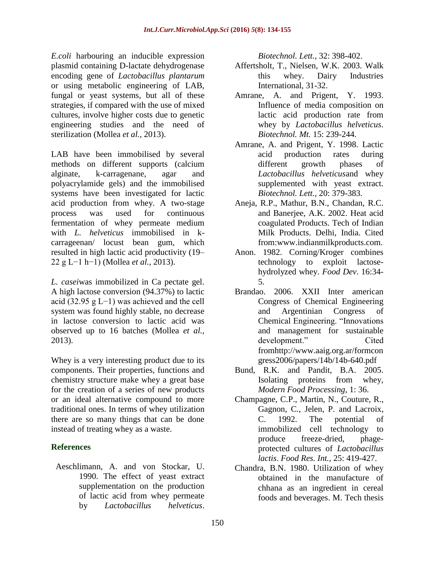*E.coli* harbouring an inducible expression plasmid containing D-lactate dehydrogenase encoding gene of *Lactobacillus plantarum* or using metabolic engineering of LAB, fungal or yeast systems, but all of these strategies, if compared with the use of mixed cultures, involve higher costs due to genetic engineering studies and the need of sterilization (Mollea *et al.,* 2013).

LAB have been immobilised by several methods on different supports (calcium alginate, k-carragenane, agar and polyacrylamide gels) and the immobilised systems have been investigated for lactic acid production from whey. A two-stage process was used for continuous fermentation of whey permeate medium with *L. helveticus* immobilised in kcarrageenan/ locust bean gum, which resulted in high lactic acid productivity (19– 22 g L−1 h−1) (Mollea *et al.,* 2013).

*L. casei*was immobilized in Ca pectate gel. A high lactose conversion (94.37%) to lactic acid (32.95 g L−1) was achieved and the cell system was found highly stable, no decrease in lactose conversion to lactic acid was observed up to 16 batches (Mollea *et al.,* 2013).

Whey is a very interesting product due to its components. Their properties, functions and chemistry structure make whey a great base for the creation of a series of new products or an ideal alternative compound to more traditional ones. In terms of whey utilization there are so many things that can be done instead of treating whey as a waste.

## **References**

Aeschlimann, A. and von Stockar, U. 1990. The effect of yeast extract supplementation on the production of lactic acid from whey permeate by *Lactobacillus helveticus*.

*Biotechnol. Lett.,* 32: 398-402.

- Affertsholt, T., Nielsen, W.K. 2003. Walk this whey. Dairy Industries International, 31-32.
- Amrane, A. and Prigent, Y. 1993. Influence of media composition on lactic acid production rate from whey by *Lactobacillus helveticus*. *Biotechnol. Mt.* 15: 239-244.
- Amrane, A. and Prigent, Y. 1998. Lactic acid production rates during different growth phases of *Lactobacillus helveticus*and whey supplemented with yeast extract. *Biotechnol. Lett.,* 20: 379-383.
- Aneja, R.P., Mathur, B.N., Chandan, R.C. and Banerjee, A.K. 2002. Heat acid coagulated Products. Tech of Indian Milk Products. Delhi, India. Cited from:www.indianmilkproducts.com.
- Anon. 1982. Corning/Kroger combines technology to exploit lactosehydrolyzed whey. *Food Dev*. 16:34- 5.
- Brandao. 2006. XXII Inter american Congress of Chemical Engineering and Argentinian Congress of Chemical Engineering. "Innovations and management for sustainable development." Cited fro[mhttp://www.aaig.org.ar/formcon](http://www.aaig.org.ar/formcongress2006/papers/14b/14b-640.pdf) [gress2006/papers/14b/14b-640.pdf](http://www.aaig.org.ar/formcongress2006/papers/14b/14b-640.pdf)
- Bund, R.K. and Pandit, B.A. 2005. Isolating proteins from whey, *Modern Food Processing*, 1: 36.
- Champagne, C.P., Martin, N., Couture, R., Gagnon, C., Jelen, P. and Lacroix, C. 1992. The potential of immobilized cell technology to produce freeze-dried, phageprotected cultures of *Lactobacillus lactis*. *Food Res. Int.,* 25: 419-427.
- Chandra, B.N. 1980. Utilization of whey obtained in the manufacture of chhana as an ingredient in cereal foods and beverages. M. Tech thesis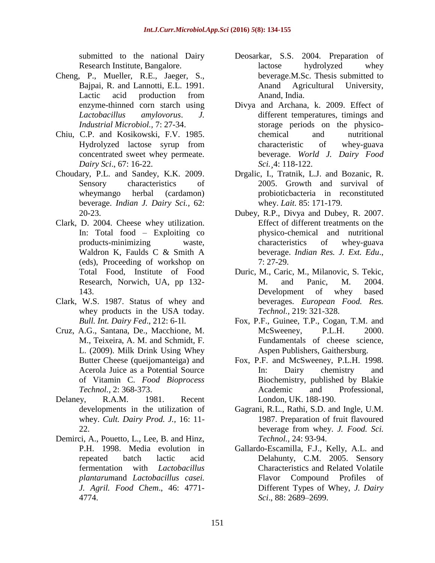submitted to the national Dairy Research Institute, Bangalore.

- Cheng, P., Mueller, R.E., Jaeger, S., Bajpai, R. and Lannotti, E.L. 1991. Lactic acid production from enzyme-thinned corn starch using *Lactobacillus amylovorus*. *J. Industrial Microbiol.,* 7: 27-34.
- Chiu, C.P. and Kosikowski, F.V. 1985. Hydrolyzed lactose syrup from concentrated sweet whey permeate. *Dairy Sci*., 67: 16-22.
- Choudary, P.L. and Sandey, K.K. 2009. Sensory characteristics of wheymango herbal (cardamon) beverage. *Indian J. Dairy Sci.,* 62: 20-23.
- Clark, D. 2004. Cheese whey utilization. In: Total food – Exploiting co products-minimizing waste, Waldron K, Faulds C & Smith A (eds), Proceeding of workshop on Total Food, Institute of Food Research, Norwich, UA, pp 132- 143.
- Clark, W.S. 1987. Status of whey and whey products in the USA today. *Bull. Int. Dairy Fed*., 212: 6-1l.
- Cruz, A.G., Santana, De., Macchione, M. M., Teixeira, A. M. and Schmidt, F. L. (2009). Milk Drink Using Whey Butter Cheese (queijomanteiga) and Acerola Juice as a Potential Source of Vitamin C. *Food Bioprocess Technol.,* 2: 368-373.
- Delaney, R.A.M. 1981. Recent developments in the utilization of whey. *Cult. Dairy Prod. J.,* 16: 11- 22.
- Demirci, A., Pouetto, L., Lee, B. and Hinz, P.H. 1998. Media evolution in repeated batch lactic acid fermentation with *Lactobacillus plantarum*and *Lactobacillus casei. J. Agril. Food Chem*., 46: 4771- 4774.
- Deosarkar, S.S. 2004. Preparation of lactose hydrolyzed whey beverage.M.Sc. Thesis submitted to Anand Agricultural University, Anand, India.
- Divya and Archana, k. 2009. Effect of different temperatures, timings and storage periods on the physicochemical and nutritional characteristic of whey-guava beverage. *World J. Dairy Food Sci.¸*4: 118-122.
- Drgalic, I., Tratnik, L.J. and Bozanic, R. 2005. Growth and survival of probioticbacteria in reconstituted whey. *Lait.* 85: 171-179.
- Dubey, R.P., Divya and Dubey, R. 2007. Effect of different treatments on the physico-chemical and nutritional characteristics of whey-guava beverage. *Indian Res. J. Ext. Edu*., 7: 27-29.
- Duric, M., Caric, M., Milanovic, S. Tekic, M. and Panic, M. 2004. Development of whey based beverages. *European Food. Res. Technol.,* 219: 321-328.
- Fox, P.F., Guinee, T.P., Cogan, T.M. and McSweeney, P.L.H. 2000. Fundamentals of cheese science, Aspen Publishers, Gaithersburg.
- Fox, P.F. and McSweeney, P.L.H. 1998. In: Dairy chemistry and Biochemistry, published by Blakie Academic and Professional, London, UK. 188-190.
- Gagrani, R.L., Rathi, S.D. and Ingle, U.M. 1987. Preparation of fruit flavoured beverage from whey. *J. Food. Sci. Technol.,* 24: 93-94.
- Gallardo-Escamilla, F.J., Kelly, A.L. and Delahunty, C.M. 2005. Sensory Characteristics and Related Volatile Flavor Compound Profiles of Different Types of Whey, *J. Dairy Sci*., 88: 2689–2699.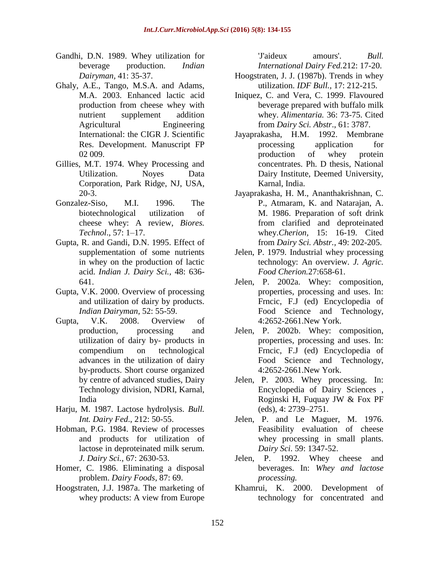- Gandhi, D.N. 1989. Whey utilization for beverage production. *Indian Dairyman,* 41: 35-37.
- Ghaly, A.E., Tango, M.S.A. and Adams, M.A. 2003. Enhanced lactic acid production from cheese whey with nutrient supplement addition Agricultural Engineering International: the CIGR J. Scientific Res. Development. Manuscript FP 02 009.
- Gillies, M.T. 1974. Whey Processing and Utilization. Noyes Data Corporation, Park Ridge, NJ, USA, 20-3.
- Gonzalez-Siso, M.I. 1996. The biotechnological utilization of cheese whey: A review, *Biores. Technol*., 57: 1–17.
- Gupta, R. and Gandi, D.N. 1995. Effect of supplementation of some nutrients in whey on the production of lactic acid. *Indian J. Dairy Sci.,* 48: 636- 641.
- Gupta, V.K. 2000. Overview of processing and utilization of dairy by products. *Indian Dairyman,* 52: 55-59.
- Gupta, V.K. 2008. Overview of production, processing and utilization of dairy by- products in compendium on technological advances in the utilization of dairy by-products. Short course organized by centre of advanced studies, Dairy Technology division, NDRI, Karnal, India
- Harju, M. 1987. Lactose hydrolysis. *Bull. Int. Dairy Fed*., 212: 50-55.
- Hobman, P.G. 1984. Review of processes and products for utilization of lactose in deproteinated milk serum. *J. Dairy Sci.,* 67: 2630-53.
- Homer, C. 1986. Eliminating a disposal problem. *Dairy Foods*, 87: 69.
- Hoogstraten, J.J. 1987a. The marketing of whey products: A view from Europe

'J'aideux amours'. *Bull. International Dairy Fed.*212: 17-20.

- Hoogstraten, J. J. (1987b). Trends in whey utilization. *IDF Bull.,* 17: 212-215.
- Iniquez, C. and Vera, C. 1999. Flavoured beverage prepared with buffalo milk whey. *Alimentaria.* 36: 73-75. Cited from *Dairy Sci. Abstr*., 61: 3787.
- Jayaprakasha, H.M. 1992. Membrane processing application for production of whey protein concentrates. Ph. D thesis, National Dairy Institute, Deemed University, Karnal, India.
- Jayaprakasha, H. M., Ananthakrishnan, C. P., Atmaram, K. and Natarajan, A. M. 1986. Preparation of soft drink from clarified and deproteinated whey.*Cherion,* 15: 16-19. Cited from *Dairy Sci. Abstr.,* 49: 202-205.
- Jelen, P. 1979. Industrial whey processing technology: An overview. *J. Agric. Food Cherion.*27:658-61.
- Jelen, P. 2002a. Whey: composition, properties, processing and uses. In: Frncic, F.J (ed) Encyclopedia of Food Science and Technology, 4:2652-2661.New York.
- Jelen, P. 2002b. Whey: composition, properties, processing and uses. In: Frncic, F.J (ed) Encyclopedia of Food Science and Technology, 4:2652-2661.New York.
- Jelen, P. 2003. Whey processing. In: Encyclopedia of Dairy Sciences , Roginski H, Fuquay JW & Fox PF (eds), 4: 2739–2751.
- Jelen, P. and Le Maguer, M. 1976. Feasibility evaluation of cheese whey processing in small plants. *Dairy Sci*. 59: 1347-52.
- Jelen, P. 1992. Whey cheese and beverages. In: *Whey and lactose processing.*
- Khamrui, K. 2000. Development of technology for concentrated and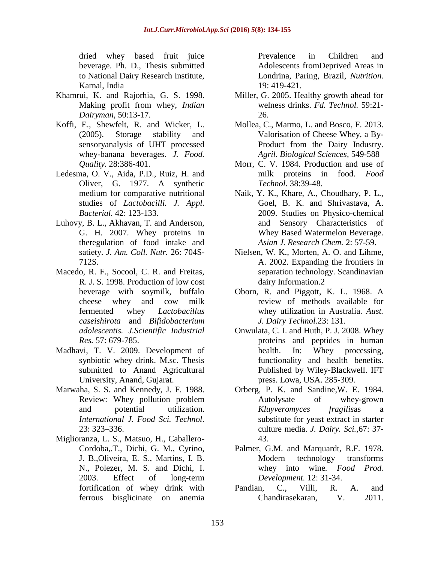dried whey based fruit juice beverage. Ph. D., Thesis submitted to National Dairy Research Institute, Karnal, India

- Khamrui, K. and Rajorhia, G. S. 1998. Making profit from whey, *Indian Dairyman*, 50:13-17.
- Koffi, E., Shewfelt, R. and Wicker, L. (2005). Storage stability and sensoryanalysis of UHT processed whey-banana beverages. *J. Food. Quality.* 28:386-401.
- Ledesma, O. V., Aida, P.D., Ruiz, H. and Oliver, G. 1977. A synthetic medium for comparative nutritional studies of *Lactobacilli. J. Appl. Bacterial.* 42: 123-133.
- Luhovy, B. L., Akhavan, T. and Anderson, G. H. 2007. Whey proteins in theregulation of food intake and satiety. *J. Am. Coll. Nutr.* 26: 704S-712S.
- Macedo, R. F., Socool, C. R. and Freitas, R. J. S. 1998. Production of low cost beverage with soymilk, buffalo cheese whey and cow milk fermented whey *Lactobacillus caseishirota* and *Bifidobacterium adolescentis. J.Scientific Industrial Res.* 57: 679-785.
- Madhavi, T. V. 2009. Development of synbiotic whey drink. M.sc. Thesis submitted to Anand Agricultural University, Anand, Gujarat.
- Marwaha, S. S. and Kennedy, J. F. 1988. Review: Whey pollution problem and potential utilization. *International J. Food Sci. Technol*. 23: 323–336.
- Miglioranza, L. S., Matsuo, H., Caballero-Cordoba,.T., Dichi, G. M., Cyrino, J. B.,Oliveira, E. S., Martins, I. B. N., Polezer, M. S. and Dichi, I. 2003. Effect of long-term fortification of whey drink with ferrous bisglicinate on anemia

Prevalence in Children and Adolescents fromDeprived Areas in Londrina, Paring, Brazil, *Nutrition.*  19: 419-421.

- Miller, G. 2005. Healthy growth ahead for welness drinks. *Fd. Technol.* 59:21- 26.
- Mollea, C., Marmo, L. and Bosco, F. 2013. Valorisation of Cheese Whey, a By-Product from the Dairy Industry. *[Agril. Biological Sciences,](http://www.intechopen.com/subjects/agricultural-and-biological-sciences)* 549-588
- Morr, C. V. 1984. Production and use of milk proteins in food. *Food Technol*. 38:39-48.
- Naik, Y. K., Khare, A., Choudhary, P. L., Goel, B. K. and Shrivastava, A. 2009. Studies on Physico-chemical and Sensory Characteristics of Whey Based Watermelon Beverage. *Asian J. Research Chem.* 2: 57-59.
- Nielsen, W. K., Morten, A. O. and Lihme, A. 2002. Expanding the frontiers in separation technology. Scandinavian dairy Information.2
- Oborn, R. and Piggott, K. L. 1968. A review of methods available for whey utilization in Australia. *Aust. J. Dairy Technol*.23: 131.
- Onwulata, C. I. and Huth, P. J. 2008. Whey proteins and peptides in human health. In: Whey processing, functionality and health benefits. Published by Wiley-Blackwell. IFT press. Lowa, USA. 285-309.
- Orberg, P. K. and Sandine, W. E. 1984.<br>Autolysate of whey-grown of whey-grown *Kluyveromyces fragilis*as a substitute for yeast extract in starter culture media. *J. Dairy. Sci.,*67: 37- 43.
- Palmer, G.M. and Marquardt, R.F. 1978. Modern technology transforms whey into wine*. Food Prod. Development.* 12: 31-34.
- Pandian, C., Villi, R. A. and Chandirasekaran, V. 2011.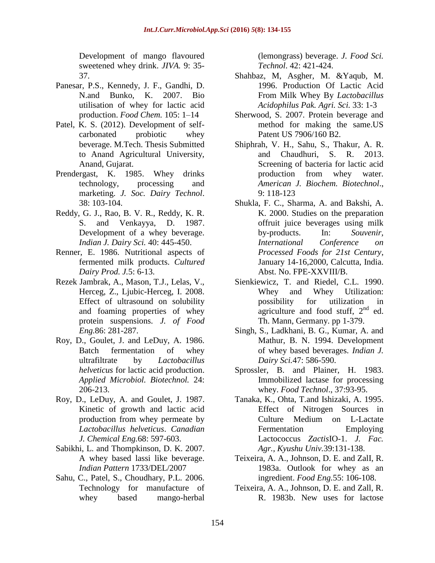Development of mango flavoured sweetened whey drink. *JIVA.* 9: 35- 37.

- Panesar, P.S., Kennedy, J. F., Gandhi, D. N.and Bunko, K. 2007. Bio utilisation of whey for lactic acid production. *Food Chem.* 105: 1–14
- Patel, K. S. (2012). Development of selfcarbonated probiotic whey beverage. M.Tech. Thesis Submitted to Anand Agricultural University, Anand, Gujarat.
- Prendergast, K. 1985. Whey drinks technology, processing and marketing. *J. Soc. Dairy Technol*. 38: 103-104.
- Reddy, G. J., Rao, B. V. R., Reddy, K. R. S. and Venkayya, D. 1987. Development of a whey beverage. *Indian J. Dairy Sci.* 40: 445-450.
- Renner, E. 1986. Nutritional aspects of fermented milk products. *Cultured Dairy Prod. J.*5: 6-13.
- Rezek Jambrak, A., Mason, T.J., Lelas, V., Herceg, Z., Ljubic-Herceg, I. 2008. Effect of ultrasound on solubility and foaming properties of whey protein suspensions. *J. of Food Eng.*86: 281-287.
- Roy, D., Goulet, J. and LeDuy, A. 1986. Batch fermentation of whey ultrafiltrate by *Lactobacillus helveticus* for lactic acid production. *Applied Microbiol. Biotechnol.* 24: 206-213.
- Roy, D., LeDuy, A. and Goulet, J. 1987. Kinetic of growth and lactic acid production from whey permeate by *Lactobacillus helveticus*. *Canadian J. Chemical Eng.*68: 597-603.
- Sabikhi, L. and Thompkinson, D. K. 2007. A whey based lassi like beverage. *Indian Pattern* 1733/DEL/2007
- Sahu, C., Patel, S., Choudhary, P.L. 2006. Technology for manufacture of whey based mango-herbal

(lemongrass) beverage. *J. Food Sci. Technol*. 42: 421-424.

- Shahbaz, M, Asgher, M. &Yaqub, M. 1996. Production Of Lactic Acid From Milk Whey By *Lactobacillus Acidophilus Pak. Agri. Sci.* 33: 1-3
- Sherwood, S. 2007. Protein beverage and method for making the same.US Patent US 7906/160 B2.
- Shiphrah, V. H., Sahu, S., Thakur, A. R. and Chaudhuri, S. R. 2013. Screening of bacteria for lactic acid production from whey water. *American J. Biochem. Biotechnol*., 9: 118-123
- Shukla, F. C., Sharma, A. and Bakshi, A. K. 2000. Studies on the preparation offruit juice beverages using milk by-products. In: *Souvenir, International Conference on Processed Foods for 21st Century*, January 14-16,2000, Calcutta, India. Abst. No. FPE-XXVIII/B.
- Sienkiewicz, T. and Riedel, C.L. 1990. Whey and Whey Utilization: possibility for utilization in agriculture and food stuff,  $2<sup>nd</sup>$  ed. Th. Mann, Germany. pp 1-379.
- Singh, S., Ladkhani, B. G., Kumar, A. and Mathur, B. N. 1994. Development of whey based beverages. *Indian J. Dairy Sci.*47: 586-590.
- Sprossler, B. and Plainer, H. 1983. Immobilized lactase for processing whey. *Food Technol*., 37:93-95.
- Tanaka, K., Ohta, T.and Ishizaki, A. 1995. Effect of Nitrogen Sources in Culture Medium on L-Lactate Fermentation Employing Lactococcus *Zactis*IO-1. *J. Fac. Agr., Kyushu Univ.*39:131-138.
- Teixeira, A. A., Johnson, D. E. and ZalI, R. 1983a. Outlook for whey as an ingredient. *Food Eng.*55: 106-108.
- Teixeira, A. A., Johnson, D. E. and Zall, R. R. 1983b. New uses for lactose